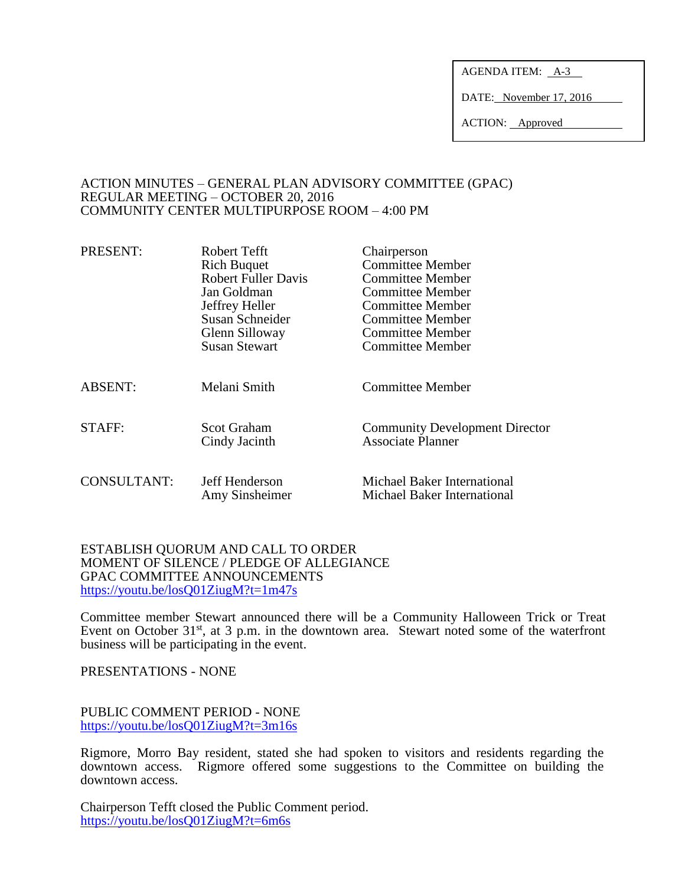AGENDA ITEM: A-3

DATE: November 17, 2016

ACTION: Approved

#### ACTION MINUTES – GENERAL PLAN ADVISORY COMMITTEE (GPAC) REGULAR MEETING – OCTOBER 20, 2016 COMMUNITY CENTER MULTIPURPOSE ROOM – 4:00 PM

| PRESENT:           | Robert Tefft                        | Chairperson                                                       |
|--------------------|-------------------------------------|-------------------------------------------------------------------|
|                    | <b>Rich Buquet</b>                  | <b>Committee Member</b>                                           |
|                    | <b>Robert Fuller Davis</b>          | Committee Member                                                  |
|                    | Jan Goldman                         | Committee Member                                                  |
|                    | Jeffrey Heller                      | <b>Committee Member</b>                                           |
|                    | Susan Schneider                     | Committee Member                                                  |
|                    | Glenn Silloway                      | <b>Committee Member</b>                                           |
|                    | <b>Susan Stewart</b>                | <b>Committee Member</b>                                           |
| <b>ABSENT:</b>     | Melani Smith                        | <b>Committee Member</b>                                           |
| STAFF:             | <b>Scot Graham</b><br>Cindy Jacinth | <b>Community Development Director</b><br><b>Associate Planner</b> |
| <b>CONSULTANT:</b> | Jeff Henderson<br>Amy Sinsheimer    | Michael Baker International<br>Michael Baker International        |

#### ESTABLISH QUORUM AND CALL TO ORDER MOMENT OF SILENCE / PLEDGE OF ALLEGIANCE GPAC COMMITTEE ANNOUNCEMENTS <https://youtu.be/losQ01ZiugM?t=1m47s>

Committee member Stewart announced there will be a Community Halloween Trick or Treat Event on October 31<sup>st</sup>, at 3 p.m. in the downtown area. Stewart noted some of the waterfront business will be participating in the event.

PRESENTATIONS - NONE

#### PUBLIC COMMENT PERIOD - NONE <https://youtu.be/losQ01ZiugM?t=3m16s>

Rigmore, Morro Bay resident, stated she had spoken to visitors and residents regarding the downtown access. Rigmore offered some suggestions to the Committee on building the downtown access.

Chairperson Tefft closed the Public Comment period. <https://youtu.be/losQ01ZiugM?t=6m6s>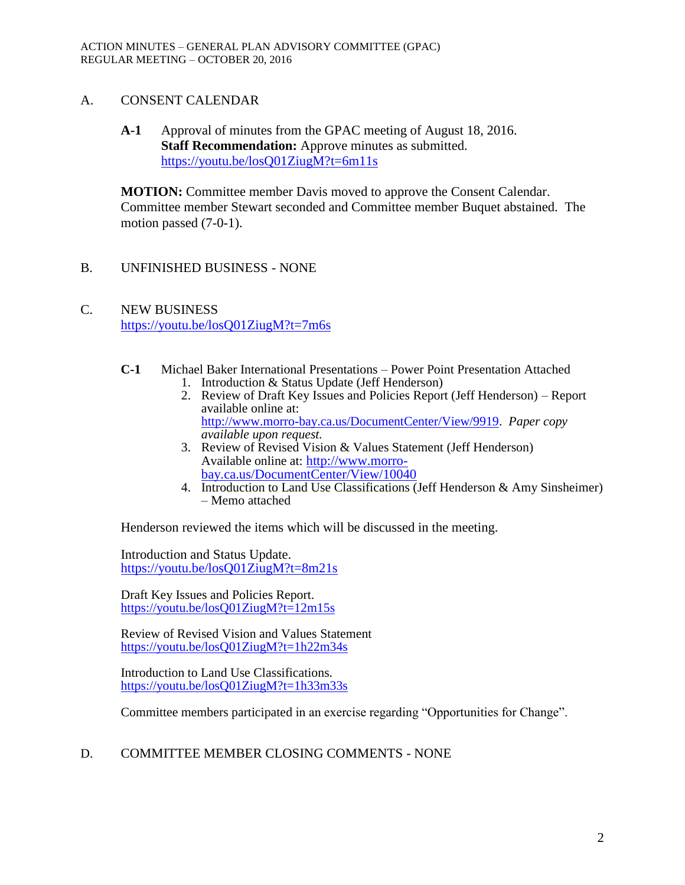## A. CONSENT CALENDAR

**A-1** Approval of minutes from the GPAC meeting of August 18, 2016. **Staff Recommendation:** Approve minutes as submitted. <https://youtu.be/losQ01ZiugM?t=6m11s>

**MOTION:** Committee member Davis moved to approve the Consent Calendar. Committee member Stewart seconded and Committee member Buquet abstained. The motion passed (7-0-1).

- B. UNFINISHED BUSINESS NONE
- C. NEW BUSINESS <https://youtu.be/losQ01ZiugM?t=7m6s>
	- **C-1** Michael Baker International Presentations Power Point Presentation Attached 1. Introduction & Status Update (Jeff Henderson)
		- 2. Review of Draft Key Issues and Policies Report (Jeff Henderson) Report available online at: [http://www.morro-bay.ca.us/DocumentCenter/View/9919.](http://www.morro-bay.ca.us/DocumentCenter/View/9919) *Paper copy available upon request.*
		- 3. Review of Revised Vision & Values Statement (Jeff Henderson) Available online at: [http://www.morro](http://www.morro-bay.ca.us/DocumentCenter/View/10040)[bay.ca.us/DocumentCenter/View/10040](http://www.morro-bay.ca.us/DocumentCenter/View/10040)
		- 4. Introduction to Land Use Classifications (Jeff Henderson & Amy Sinsheimer) – Memo attached

Henderson reviewed the items which will be discussed in the meeting.

Introduction and Status Update. <https://youtu.be/losQ01ZiugM?t=8m21s>

Draft Key Issues and Policies Report. <https://youtu.be/losQ01ZiugM?t=12m15s>

Review of Revised Vision and Values Statement <https://youtu.be/losQ01ZiugM?t=1h22m34s>

Introduction to Land Use Classifications. <https://youtu.be/losQ01ZiugM?t=1h33m33s>

Committee members participated in an exercise regarding "Opportunities for Change".

# D. COMMITTEE MEMBER CLOSING COMMENTS - NONE